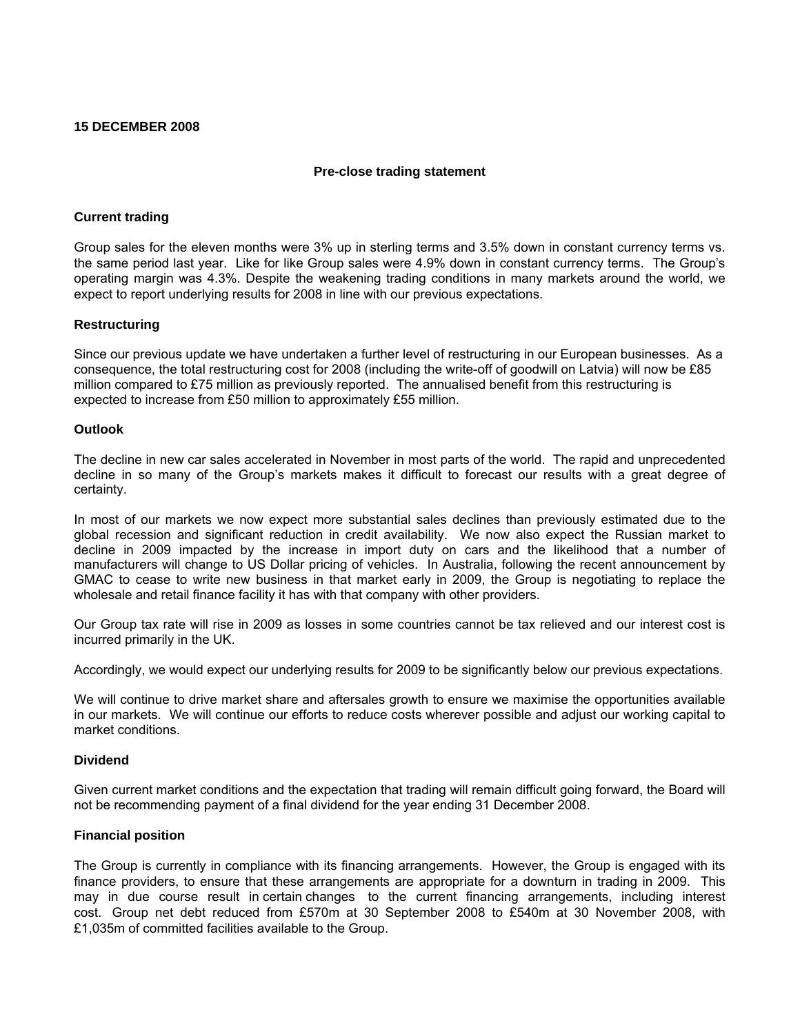# **15 DECEMBER 2008**

# **Pre-close trading statement**

# **Current trading**

Group sales for the eleven months were 3% up in sterling terms and 3.5% down in constant currency terms vs. the same period last year. Like for like Group sales were 4.9% down in constant currency terms. The Group's operating margin was 4.3%. Despite the weakening trading conditions in many markets around the world, we expect to report underlying results for 2008 in line with our previous expectations.

### **Restructuring**

Since our previous update we have undertaken a further level of restructuring in our European businesses. As a consequence, the total restructuring cost for 2008 (including the write-off of goodwill on Latvia) will now be £85 million compared to £75 million as previously reported. The annualised benefit from this restructuring is expected to increase from £50 million to approximately £55 million.

### **Outlook**

The decline in new car sales accelerated in November in most parts of the world. The rapid and unprecedented decline in so many of the Group's markets makes it difficult to forecast our results with a great degree of certainty.

In most of our markets we now expect more substantial sales declines than previously estimated due to the global recession and significant reduction in credit availability. We now also expect the Russian market to decline in 2009 impacted by the increase in import duty on cars and the likelihood that a number of manufacturers will change to US Dollar pricing of vehicles. In Australia, following the recent announcement by GMAC to cease to write new business in that market early in 2009, the Group is negotiating to replace the wholesale and retail finance facility it has with that company with other providers.

Our Group tax rate will rise in 2009 as losses in some countries cannot be tax relieved and our interest cost is incurred primarily in the UK.

Accordingly, we would expect our underlying results for 2009 to be significantly below our previous expectations.

We will continue to drive market share and aftersales growth to ensure we maximise the opportunities available in our markets. We will continue our efforts to reduce costs wherever possible and adjust our working capital to market conditions.

#### **Dividend**

Given current market conditions and the expectation that trading will remain difficult going forward, the Board will not be recommending payment of a final dividend for the year ending 31 December 2008.

# **Financial position**

The Group is currently in compliance with its financing arrangements. However, the Group is engaged with its finance providers, to ensure that these arrangements are appropriate for a downturn in trading in 2009. This may in due course result in certain changes to the current financing arrangements, including interest cost. Group net debt reduced from £570m at 30 September 2008 to £540m at 30 November 2008, with £1,035m of committed facilities available to the Group.